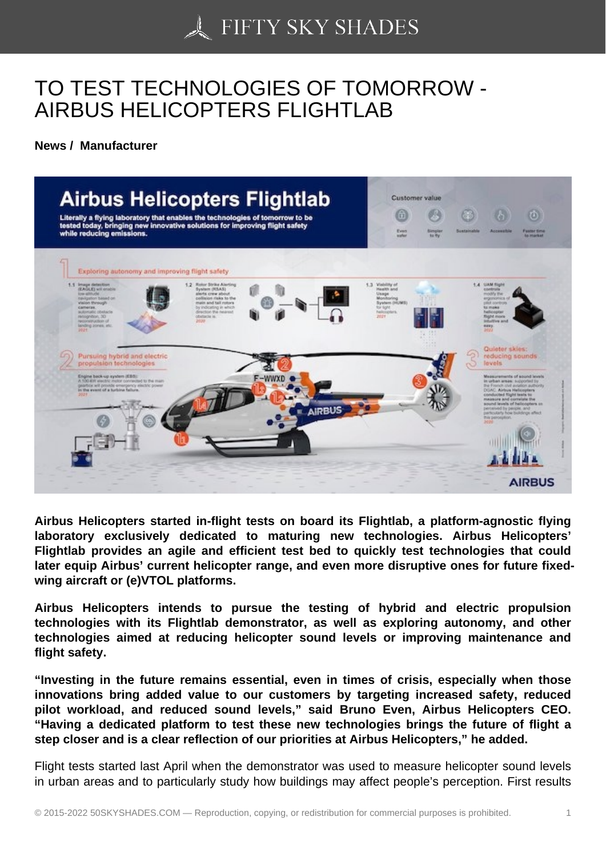## [TO TEST TECHNOLO](https://50skyshades.com)GIES OF TOMORROW - AIRBUS HELICOPTERS FLIGHTLAB

News / Manufacturer

Airbus Helicopters started in-flight tests on board its Flightlab, a platform-agnostic flying laboratory exclusively dedicated to maturing new technologies. Airbus Helicopters' Flightlab provides an agile and efficient test bed to quickly test technologies that could later equip Airbus' current helicopter range, and even more disruptive ones for future fixedwing aircraft or (e)VTOL platforms.

Airbus Helicopters intends to pursue the testing of hybrid and electric propulsion technologies with its Flightlab demonstrator, as well as exploring autonomy, and other technologies aimed at reducing helicopter sound levels or improving maintenance and flight safety.

"Investing in the future remains essential, even in times of crisis, especially when those innovations bring added value to our customers by targeting increased safety, reduced pilot workload, and reduced sound levels," said Bruno Even, Airbus Helicopters CEO. "Having a dedicated platform to test these new technologies brings the future of flight a step closer and is a clear reflection of our priorities at Airbus Helicopters," he added.

Flight tests started last April when the demonstrator was used to measure helicopter sound levels in urban areas and to particularly study how buildings may affect people's perception. First results